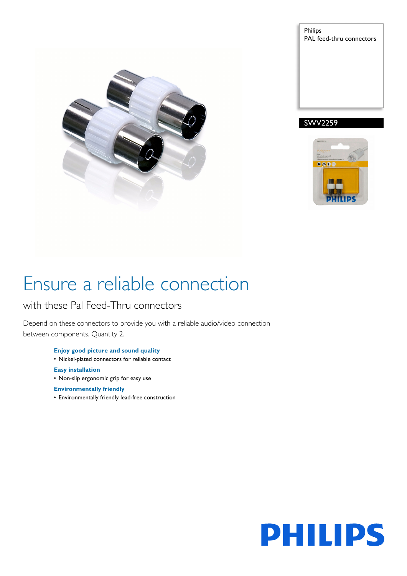

Philips PAL feed-thru connectors





# Ensure a reliable connection

### with these Pal Feed-Thru connectors

Depend on these connectors to provide you with a reliable audio/video connection between components. Quantity 2.

- **Enjoy good picture and sound quality** • Nickel-plated connectors for reliable contact
- **Easy installation**
- Non-slip ergonomic grip for easy use

### **Environmentally friendly**

• Environmentally friendly lead-free construction